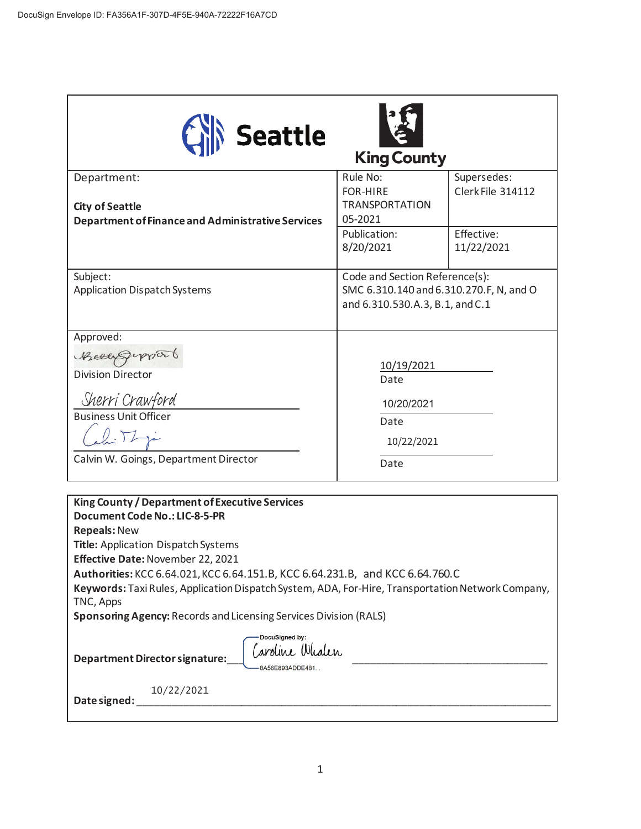| Seattle                                                                                                                                                                                                                                      |                                                                                                              |                          |
|----------------------------------------------------------------------------------------------------------------------------------------------------------------------------------------------------------------------------------------------|--------------------------------------------------------------------------------------------------------------|--------------------------|
|                                                                                                                                                                                                                                              | <b>King County</b>                                                                                           |                          |
| Department:                                                                                                                                                                                                                                  | Rule No:                                                                                                     | Supersedes:              |
| <b>City of Seattle</b><br><b>Department of Finance and Administrative Services</b>                                                                                                                                                           | <b>FOR-HIRE</b><br><b>TRANSPORTATION</b>                                                                     | Clerk File 314112        |
|                                                                                                                                                                                                                                              | 05-2021                                                                                                      |                          |
|                                                                                                                                                                                                                                              | Publication:<br>8/20/2021                                                                                    | Effective:<br>11/22/2021 |
| Subject:                                                                                                                                                                                                                                     | Code and Section Reference(s):<br>SMC 6.310.140 and 6.310.270.F, N, and O<br>and 6.310.530.A.3, B.1, and C.1 |                          |
| <b>Application Dispatch Systems</b>                                                                                                                                                                                                          |                                                                                                              |                          |
| Approved:                                                                                                                                                                                                                                    |                                                                                                              |                          |
| Receipymort                                                                                                                                                                                                                                  | 10/19/2021                                                                                                   |                          |
| <b>Division Director</b>                                                                                                                                                                                                                     | Date                                                                                                         |                          |
| Sherri Crawford                                                                                                                                                                                                                              | 10/20/2021                                                                                                   |                          |
| <b>Business Unit Officer</b>                                                                                                                                                                                                                 | Date                                                                                                         |                          |
|                                                                                                                                                                                                                                              | 10/22/2021                                                                                                   |                          |
| Calvin W. Goings, Department Director                                                                                                                                                                                                        | Date                                                                                                         |                          |
|                                                                                                                                                                                                                                              |                                                                                                              |                          |
| King County / Department of Executive Services<br>Document Code No.: LIC-8-5-PR                                                                                                                                                              |                                                                                                              |                          |
| <b>Repeals: New</b>                                                                                                                                                                                                                          |                                                                                                              |                          |
| <b>Title: Application Dispatch Systems</b><br>Effective Date: November 22, 2021                                                                                                                                                              |                                                                                                              |                          |
| Authorities: KCC 6.64.021, KCC 6.64.151.B, KCC 6.64.231.B, and KCC 6.64.760.C                                                                                                                                                                |                                                                                                              |                          |
| Keywords: Taxi Rules, Application Dispatch System, ADA, For-Hire, Transportation Network Company,                                                                                                                                            |                                                                                                              |                          |
| TNC, Apps<br><b>Sponsoring Agency: Records and Licensing Services Division (RALS)</b>                                                                                                                                                        |                                                                                                              |                          |
| DocuSigned by:                                                                                                                                                                                                                               |                                                                                                              |                          |
| Caroline Whalen<br>Department Director signature:<br>8A56E893ADDE481                                                                                                                                                                         |                                                                                                              |                          |
| 10/22/2021<br>Date signed: National Contract of the Contract of the Contract of the Contract of the Contract of the Contract of the Contract of the Contract of the Contract of the Contract of the Contract of the Contract of the Contract |                                                                                                              |                          |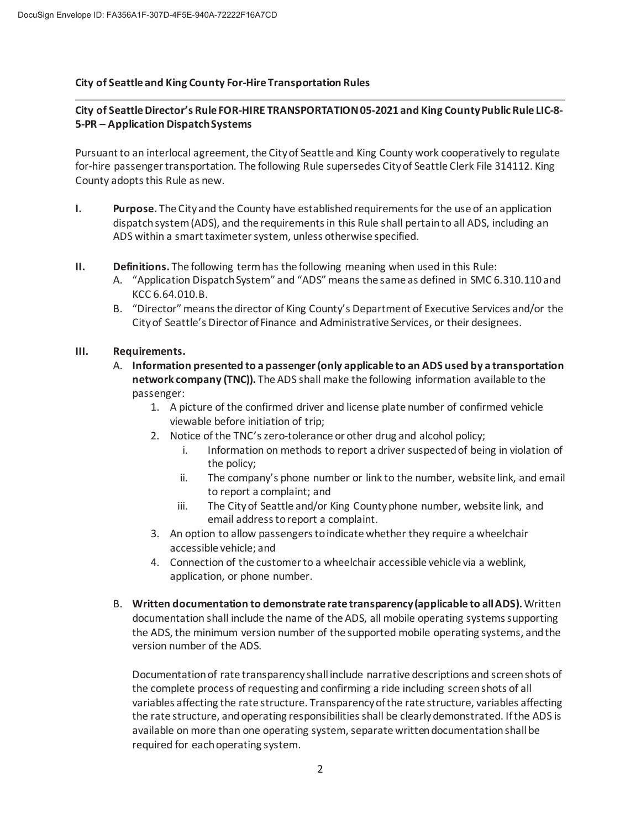## **City of Seattle and King County For-Hire Transportation Rules**

## **City of Seattle Director's Rule FOR-HIRE TRANSPORTATION 05-2021 and King County Public Rule LIC-8- 5-PR – Application Dispatch Systems**

Pursuant to an interlocal agreement, the City of Seattle and King County work cooperatively to regulate for-hire passenger transportation. The following Rule supersedes City of Seattle Clerk File 314112. King County adopts this Rule as new.

- **I. Purpose.** The City and the County have established requirements for the use of an application dispatch system (ADS), and the requirements in this Rule shall pertain to all ADS, including an ADS within a smart taximeter system, unless otherwise specified.
- **II. Definitions.** The following term has the following meaning when used in this Rule:
	- A. "Application Dispatch System" and "ADS" means the same as defined in SMC 6.310.110 and KCC 6.64.010.B.
	- B. "Director" means the director of King County's Department of Executive Services and/or the City of Seattle's Director of Finance and Administrative Services, or their designees.

## **III. Requirements.**

- A. **Information presented to a passenger (only applicable to an ADS used by a transportation network company (TNC)).** The ADS shall make the following information available to the passenger:
	- 1. A picture of the confirmed driver and license plate number of confirmed vehicle viewable before initiation of trip;
	- 2. Notice of the TNC's zero-tolerance or other drug and alcohol policy;
		- i. Information on methods to report a driver suspected of being in violation of the policy;
		- ii. The company's phone number or link to the number, website link, and email to report a complaint; and
		- iii. The City of Seattle and/or King County phone number, website link, and email address to report a complaint.
	- 3. An option to allow passengers to indicate whether they require a wheelchair accessible vehicle; and
	- 4. Connection of the customer to a wheelchair accessible vehicle via a weblink, application, or phone number.
- B. **Written documentation to demonstrate rate transparency (applicable to all ADS).** Written documentation shall include the name of the ADS, all mobile operating systems supporting the ADS, the minimum version number of the supported mobile operating systems, and the version number of the ADS.

Documentation of rate transparency shall include narrative descriptions and screen shots of the complete process of requesting and confirming a ride including screen shots of all variables affecting the rate structure. Transparency of the rate structure, variables affecting the rate structure, and operating responsibilities shall be clearly demonstrated. If the ADS is available on more than one operating system, separate written documentation shall be required for each operating system.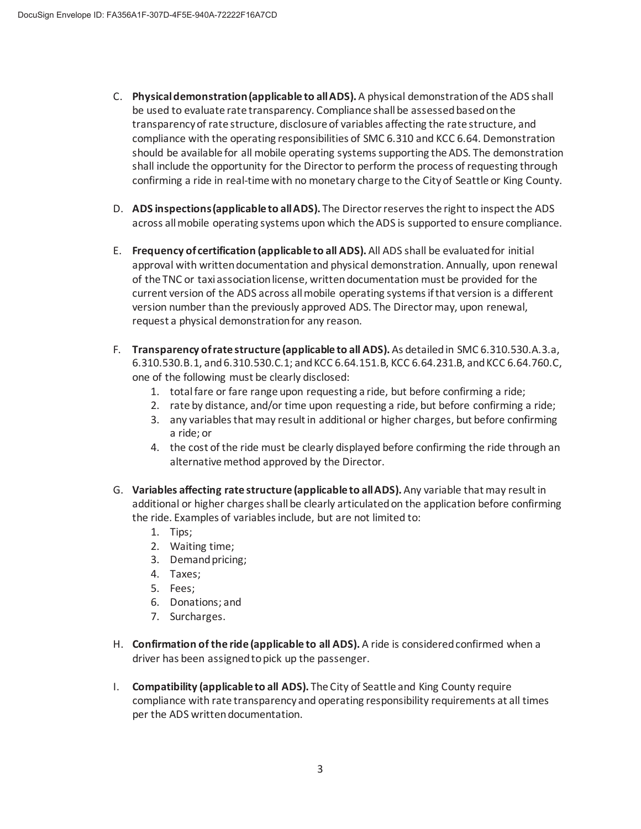- C. **Physical demonstration (applicable to all ADS).** A physical demonstration of the ADS shall be used to evaluate rate transparency. Compliance shall be assessed based on the transparency of rate structure, disclosure of variables affecting the rate structure, and compliance with the operating responsibilities of SMC 6.310 and KCC 6.64. Demonstration should be available for all mobile operating systems supporting the ADS. The demonstration shall include the opportunity for the Director to perform the process of requesting through confirming a ride in real-time with no monetary charge to the City of Seattle or King County.
- D. **ADS inspections (applicable to all ADS).** The Director reserves the right to inspect the ADS across all mobile operating systems upon which the ADS is supported to ensure compliance.
- E. **Frequency of certification (applicable to all ADS).** All ADS shall be evaluated for initial approval with written documentation and physical demonstration. Annually, upon renewal of the TNC or taxi association license, written documentation must be provided for the current version of the ADS across all mobile operating systems if that version is a different version number than the previously approved ADS. The Director may, upon renewal, request a physical demonstration for any reason.
- F. **Transparency of rate structure (applicable to all ADS).** As detailed in SMC 6.310.530.A.3.a, 6.310.530.B.1, and 6.310.530.C.1; and KCC 6.64.151.B, KCC 6.64.231.B, and KCC 6.64.760.C, one of the following must be clearly disclosed:
	- 1. total fare or fare range upon requesting a ride, but before confirming a ride;
	- 2. rate by distance, and/or time upon requesting a ride, but before confirming a ride;
	- 3. any variables that may result in additional or higher charges, but before confirming a ride; or
	- 4. the cost of the ride must be clearly displayed before confirming the ride through an alternative method approved by the Director.
- G. **Variables affecting rate structure (applicable to all ADS).** Any variable that may result in additional or higher charges shall be clearly articulated on the application before confirming the ride. Examples of variables include, but are not limited to:
	- 1. Tips;
	- 2. Waiting time;
	- 3. Demand pricing;
	- 4. Taxes;
	- 5. Fees;
	- 6. Donations; and
	- 7. Surcharges.
- H. **Confirmation of the ride (applicable to all ADS).** A ride is considered confirmed when a driver has been assigned to pick up the passenger.
- I. **Compatibility (applicable to all ADS).** The City of Seattle and King County require compliance with rate transparency and operating responsibility requirements at all times per the ADS written documentation.